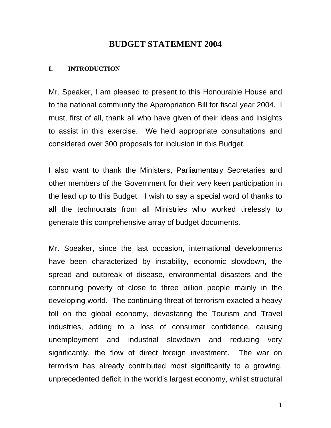## **BUDGET STATEMENT 2004**

#### **I. INTRODUCTION**

Mr. Speaker, I am pleased to present to this Honourable House and to the national community the Appropriation Bill for fiscal year 2004. I must, first of all, thank all who have given of their ideas and insights to assist in this exercise. We held appropriate consultations and considered over 300 proposals for inclusion in this Budget.

I also want to thank the Ministers, Parliamentary Secretaries and other members of the Government for their very keen participation in the lead up to this Budget. I wish to say a special word of thanks to all the technocrats from all Ministries who worked tirelessly to generate this comprehensive array of budget documents.

Mr. Speaker, since the last occasion, international developments have been characterized by instability, economic slowdown, the spread and outbreak of disease, environmental disasters and the continuing poverty of close to three billion people mainly in the developing world. The continuing threat of terrorism exacted a heavy toll on the global economy, devastating the Tourism and Travel industries, adding to a loss of consumer confidence, causing unemployment and industrial slowdown and reducing very significantly, the flow of direct foreign investment. The war on terrorism has already contributed most significantly to a growing, unprecedented deficit in the world's largest economy, whilst structural

1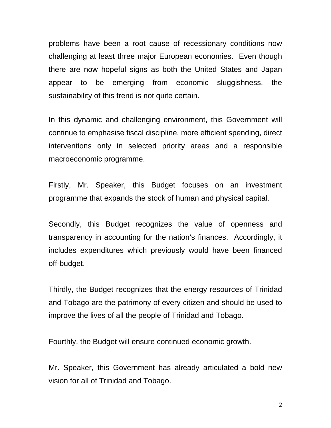problems have been a root cause of recessionary conditions now challenging at least three major European economies. Even though there are now hopeful signs as both the United States and Japan appear to be emerging from economic sluggishness, the sustainability of this trend is not quite certain.

In this dynamic and challenging environment, this Government will continue to emphasise fiscal discipline, more efficient spending, direct interventions only in selected priority areas and a responsible macroeconomic programme.

Firstly, Mr. Speaker, this Budget focuses on an investment programme that expands the stock of human and physical capital.

Secondly, this Budget recognizes the value of openness and transparency in accounting for the nation's finances. Accordingly, it includes expenditures which previously would have been financed off-budget.

Thirdly, the Budget recognizes that the energy resources of Trinidad and Tobago are the patrimony of every citizen and should be used to improve the lives of all the people of Trinidad and Tobago.

Fourthly, the Budget will ensure continued economic growth.

Mr. Speaker, this Government has already articulated a bold new vision for all of Trinidad and Tobago.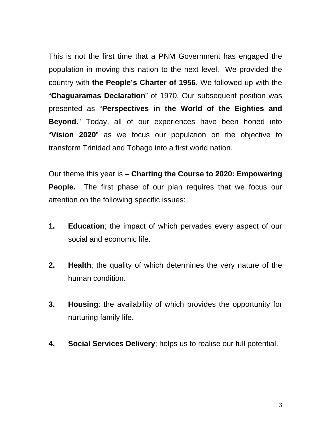This is not the first time that a PNM Government has engaged the population in moving this nation to the next level. We provided the country with **the People's Charter of 1956**. We followed up with the "**Chaguaramas Declaration**" of 1970. Our subsequent position was presented as "**Perspectives in the World of the Eighties and Beyond.**" Today, all of our experiences have been honed into "**Vision 2020**" as we focus our population on the objective to transform Trinidad and Tobago into a first world nation.

Our theme this year is – **Charting the Course to 2020: Empowering People.** The first phase of our plan requires that we focus our attention on the following specific issues:

- **1. Education**; the impact of which pervades every aspect of our social and economic life.
- **2. Health**; the quality of which determines the very nature of the human condition.
- **3. Housing**: the availability of which provides the opportunity for nurturing family life.
- **4. Social Services Delivery**; helps us to realise our full potential.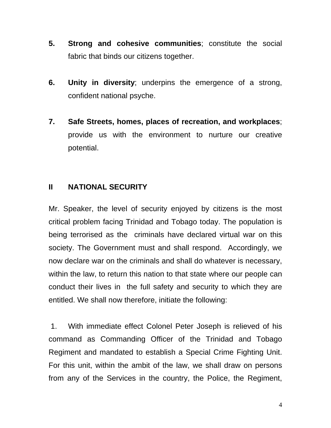- **5. Strong and cohesive communities**; constitute the social fabric that binds our citizens together.
- **6. Unity in diversity**; underpins the emergence of a strong, confident national psyche.
- **7. Safe Streets, homes, places of recreation, and workplaces**; provide us with the environment to nurture our creative potential.

# **II NATIONAL SECURITY**

Mr. Speaker, the level of security enjoyed by citizens is the most critical problem facing Trinidad and Tobago today. The population is being terrorised as the criminals have declared virtual war on this society. The Government must and shall respond. Accordingly, we now declare war on the criminals and shall do whatever is necessary, within the law, to return this nation to that state where our people can conduct their lives in the full safety and security to which they are entitled. We shall now therefore, initiate the following:

 1. With immediate effect Colonel Peter Joseph is relieved of his command as Commanding Officer of the Trinidad and Tobago Regiment and mandated to establish a Special Crime Fighting Unit. For this unit, within the ambit of the law, we shall draw on persons from any of the Services in the country, the Police, the Regiment,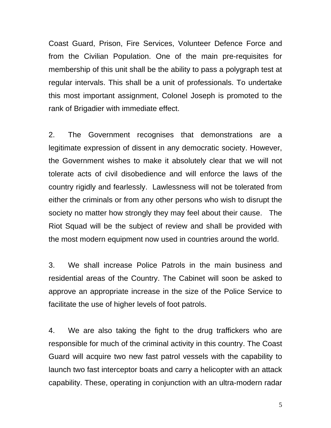Coast Guard, Prison, Fire Services, Volunteer Defence Force and from the Civilian Population. One of the main pre-requisites for membership of this unit shall be the ability to pass a polygraph test at regular intervals. This shall be a unit of professionals. To undertake this most important assignment, Colonel Joseph is promoted to the rank of Brigadier with immediate effect.

2. The Government recognises that demonstrations are a legitimate expression of dissent in any democratic society. However, the Government wishes to make it absolutely clear that we will not tolerate acts of civil disobedience and will enforce the laws of the country rigidly and fearlessly. Lawlessness will not be tolerated from either the criminals or from any other persons who wish to disrupt the society no matter how strongly they may feel about their cause. The Riot Squad will be the subject of review and shall be provided with the most modern equipment now used in countries around the world.

3. We shall increase Police Patrols in the main business and residential areas of the Country. The Cabinet will soon be asked to approve an appropriate increase in the size of the Police Service to facilitate the use of higher levels of foot patrols.

4. We are also taking the fight to the drug traffickers who are responsible for much of the criminal activity in this country. The Coast Guard will acquire two new fast patrol vessels with the capability to launch two fast interceptor boats and carry a helicopter with an attack capability. These, operating in conjunction with an ultra-modern radar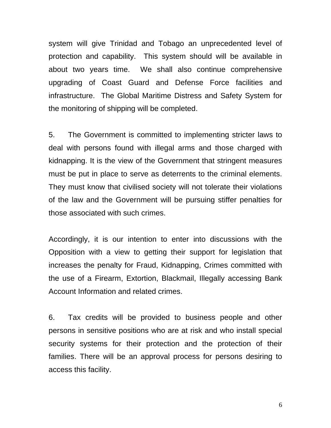system will give Trinidad and Tobago an unprecedented level of protection and capability. This system should will be available in about two years time. We shall also continue comprehensive upgrading of Coast Guard and Defense Force facilities and infrastructure. The Global Maritime Distress and Safety System for the monitoring of shipping will be completed.

5. The Government is committed to implementing stricter laws to deal with persons found with illegal arms and those charged with kidnapping. It is the view of the Government that stringent measures must be put in place to serve as deterrents to the criminal elements. They must know that civilised society will not tolerate their violations of the law and the Government will be pursuing stiffer penalties for those associated with such crimes.

Accordingly, it is our intention to enter into discussions with the Opposition with a view to getting their support for legislation that increases the penalty for Fraud, Kidnapping, Crimes committed with the use of a Firearm, Extortion, Blackmail, Illegally accessing Bank Account Information and related crimes.

6. Tax credits will be provided to business people and other persons in sensitive positions who are at risk and who install special security systems for their protection and the protection of their families. There will be an approval process for persons desiring to access this facility.

6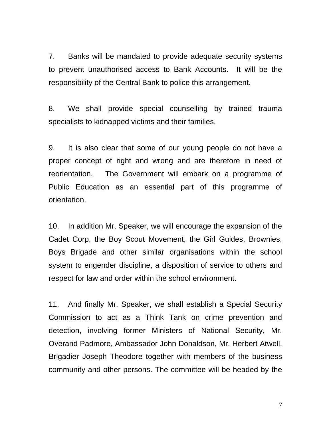7. Banks will be mandated to provide adequate security systems to prevent unauthorised access to Bank Accounts. It will be the responsibility of the Central Bank to police this arrangement.

8. We shall provide special counselling by trained trauma specialists to kidnapped victims and their families.

9. It is also clear that some of our young people do not have a proper concept of right and wrong and are therefore in need of reorientation. The Government will embark on a programme of Public Education as an essential part of this programme of orientation.

10. In addition Mr. Speaker, we will encourage the expansion of the Cadet Corp, the Boy Scout Movement, the Girl Guides, Brownies, Boys Brigade and other similar organisations within the school system to engender discipline, a disposition of service to others and respect for law and order within the school environment.

11. And finally Mr. Speaker, we shall establish a Special Security Commission to act as a Think Tank on crime prevention and detection, involving former Ministers of National Security, Mr. Overand Padmore, Ambassador John Donaldson, Mr. Herbert Atwell, Brigadier Joseph Theodore together with members of the business community and other persons. The committee will be headed by the

7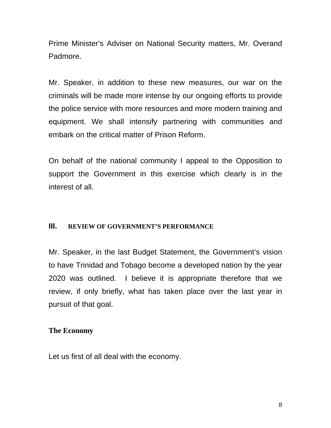Prime Minister's Adviser on National Security matters, Mr. Overand Padmore.

Mr. Speaker, in addition to these new measures, our war on the criminals will be made more intense by our ongoing efforts to provide the police service with more resources and more modern training and equipment. We shall intensify partnering with communities and embark on the critical matter of Prison Reform.

On behalf of the national community I appeal to the Opposition to support the Government in this exercise which clearly is in the interest of all.

#### **III. REVIEW OF GOVERNMENT'S PERFORMANCE**

Mr. Speaker, in the last Budget Statement, the Government's vision to have Trinidad and Tobago become a developed nation by the year 2020 was outlined. I believe it is appropriate therefore that we review, if only briefly, what has taken place over the last year in pursuit of that goal.

## **The Economy**

Let us first of all deal with the economy.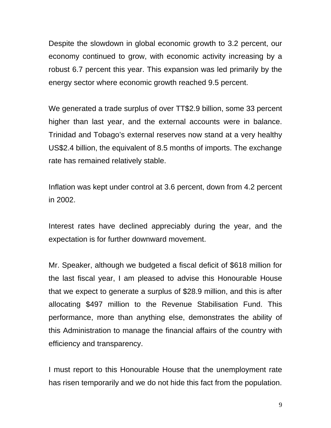Despite the slowdown in global economic growth to 3.2 percent, our economy continued to grow, with economic activity increasing by a robust 6.7 percent this year. This expansion was led primarily by the energy sector where economic growth reached 9.5 percent.

We generated a trade surplus of over TT\$2.9 billion, some 33 percent higher than last year, and the external accounts were in balance. Trinidad and Tobago's external reserves now stand at a very healthy US\$2.4 billion, the equivalent of 8.5 months of imports. The exchange rate has remained relatively stable.

Inflation was kept under control at 3.6 percent, down from 4.2 percent in 2002.

Interest rates have declined appreciably during the year, and the expectation is for further downward movement.

Mr. Speaker, although we budgeted a fiscal deficit of \$618 million for the last fiscal year, I am pleased to advise this Honourable House that we expect to generate a surplus of \$28.9 million, and this is after allocating \$497 million to the Revenue Stabilisation Fund. This performance, more than anything else, demonstrates the ability of this Administration to manage the financial affairs of the country with efficiency and transparency.

I must report to this Honourable House that the unemployment rate has risen temporarily and we do not hide this fact from the population.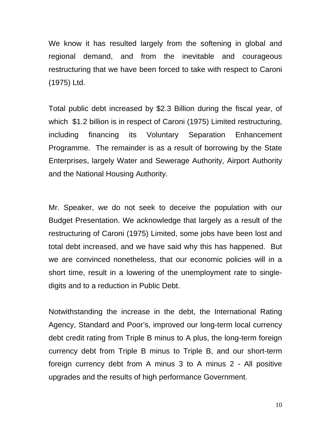We know it has resulted largely from the softening in global and regional demand, and from the inevitable and courageous restructuring that we have been forced to take with respect to Caroni (1975) Ltd.

Total public debt increased by \$2.3 Billion during the fiscal year, of which \$1.2 billion is in respect of Caroni (1975) Limited restructuring, including financing its Voluntary Separation Enhancement Programme. The remainder is as a result of borrowing by the State Enterprises, largely Water and Sewerage Authority, Airport Authority and the National Housing Authority.

Mr. Speaker, we do not seek to deceive the population with our Budget Presentation. We acknowledge that largely as a result of the restructuring of Caroni (1975) Limited, some jobs have been lost and total debt increased, and we have said why this has happened. But we are convinced nonetheless, that our economic policies will in a short time, result in a lowering of the unemployment rate to singledigits and to a reduction in Public Debt.

Notwithstanding the increase in the debt, the International Rating Agency, Standard and Poor's, improved our long-term local currency debt credit rating from Triple B minus to A plus, the long-term foreign currency debt from Triple B minus to Triple B, and our short-term foreign currency debt from A minus 3 to A minus 2 - All positive upgrades and the results of high performance Government.

10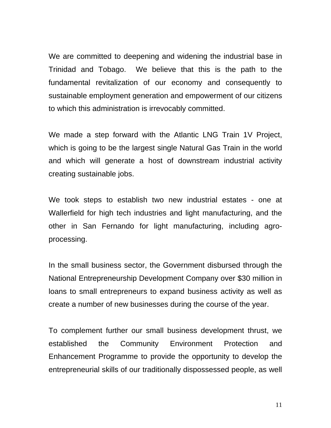We are committed to deepening and widening the industrial base in Trinidad and Tobago. We believe that this is the path to the fundamental revitalization of our economy and consequently to sustainable employment generation and empowerment of our citizens to which this administration is irrevocably committed.

We made a step forward with the Atlantic LNG Train 1V Project, which is going to be the largest single Natural Gas Train in the world and which will generate a host of downstream industrial activity creating sustainable jobs.

We took steps to establish two new industrial estates - one at Wallerfield for high tech industries and light manufacturing, and the other in San Fernando for light manufacturing, including agroprocessing.

In the small business sector, the Government disbursed through the National Entrepreneurship Development Company over \$30 million in loans to small entrepreneurs to expand business activity as well as create a number of new businesses during the course of the year.

To complement further our small business development thrust, we established the Community Environment Protection and Enhancement Programme to provide the opportunity to develop the entrepreneurial skills of our traditionally dispossessed people, as well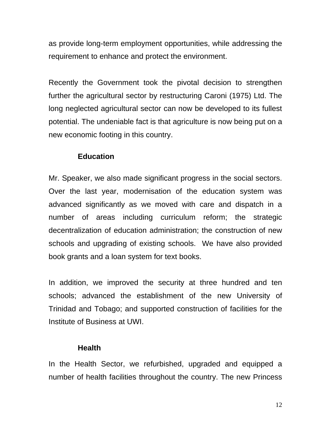as provide long-term employment opportunities, while addressing the requirement to enhance and protect the environment.

Recently the Government took the pivotal decision to strengthen further the agricultural sector by restructuring Caroni (1975) Ltd. The long neglected agricultural sector can now be developed to its fullest potential. The undeniable fact is that agriculture is now being put on a new economic footing in this country.

### **Education**

Mr. Speaker, we also made significant progress in the social sectors. Over the last year, modernisation of the education system was advanced significantly as we moved with care and dispatch in a number of areas including curriculum reform; the strategic decentralization of education administration; the construction of new schools and upgrading of existing schools. We have also provided book grants and a loan system for text books.

In addition, we improved the security at three hundred and ten schools; advanced the establishment of the new University of Trinidad and Tobago; and supported construction of facilities for the Institute of Business at UWI.

#### **Health**

In the Health Sector, we refurbished, upgraded and equipped a number of health facilities throughout the country. The new Princess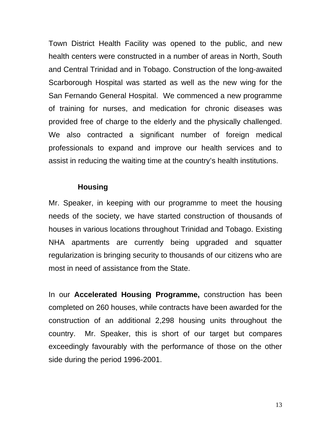Town District Health Facility was opened to the public, and new health centers were constructed in a number of areas in North, South and Central Trinidad and in Tobago. Construction of the long-awaited Scarborough Hospital was started as well as the new wing for the San Fernando General Hospital. We commenced a new programme of training for nurses, and medication for chronic diseases was provided free of charge to the elderly and the physically challenged. We also contracted a significant number of foreign medical professionals to expand and improve our health services and to assist in reducing the waiting time at the country's health institutions.

#### **Housing**

Mr. Speaker, in keeping with our programme to meet the housing needs of the society, we have started construction of thousands of houses in various locations throughout Trinidad and Tobago. Existing NHA apartments are currently being upgraded and squatter regularization is bringing security to thousands of our citizens who are most in need of assistance from the State.

In our **Accelerated Housing Programme,** construction has been completed on 260 houses, while contracts have been awarded for the construction of an additional 2,298 housing units throughout the country. Mr. Speaker, this is short of our target but compares exceedingly favourably with the performance of those on the other side during the period 1996-2001.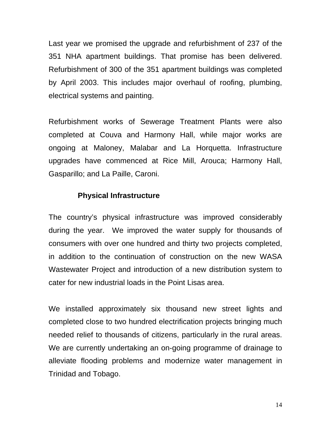Last year we promised the upgrade and refurbishment of 237 of the 351 NHA apartment buildings. That promise has been delivered. Refurbishment of 300 of the 351 apartment buildings was completed by April 2003. This includes major overhaul of roofing, plumbing, electrical systems and painting.

Refurbishment works of Sewerage Treatment Plants were also completed at Couva and Harmony Hall, while major works are ongoing at Maloney, Malabar and La Horquetta. Infrastructure upgrades have commenced at Rice Mill, Arouca; Harmony Hall, Gasparillo; and La Paille, Caroni.

#### **Physical Infrastructure**

The country's physical infrastructure was improved considerably during the year. We improved the water supply for thousands of consumers with over one hundred and thirty two projects completed, in addition to the continuation of construction on the new WASA Wastewater Project and introduction of a new distribution system to cater for new industrial loads in the Point Lisas area.

We installed approximately six thousand new street lights and completed close to two hundred electrification projects bringing much needed relief to thousands of citizens, particularly in the rural areas. We are currently undertaking an on-going programme of drainage to alleviate flooding problems and modernize water management in Trinidad and Tobago.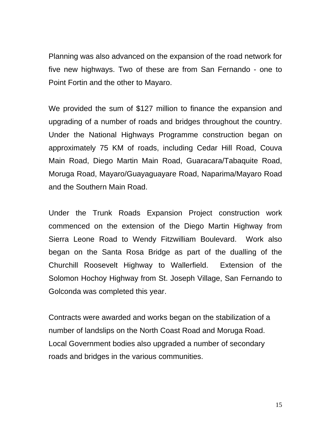Planning was also advanced on the expansion of the road network for five new highways. Two of these are from San Fernando - one to Point Fortin and the other to Mayaro.

We provided the sum of \$127 million to finance the expansion and upgrading of a number of roads and bridges throughout the country. Under the National Highways Programme construction began on approximately 75 KM of roads, including Cedar Hill Road, Couva Main Road, Diego Martin Main Road, Guaracara/Tabaquite Road, Moruga Road, Mayaro/Guayaguayare Road, Naparima/Mayaro Road and the Southern Main Road.

Under the Trunk Roads Expansion Project construction work commenced on the extension of the Diego Martin Highway from Sierra Leone Road to Wendy Fitzwilliam Boulevard. Work also began on the Santa Rosa Bridge as part of the dualling of the Churchill Roosevelt Highway to Wallerfield. Extension of the Solomon Hochoy Highway from St. Joseph Village, San Fernando to Golconda was completed this year.

Contracts were awarded and works began on the stabilization of a number of landslips on the North Coast Road and Moruga Road. Local Government bodies also upgraded a number of secondary roads and bridges in the various communities.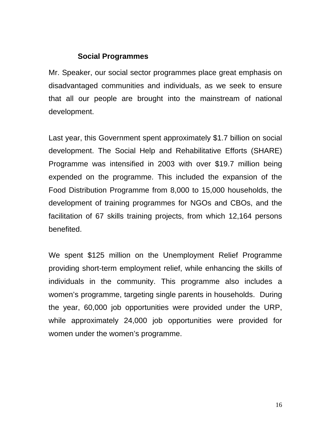#### **Social Programmes**

Mr. Speaker, our social sector programmes place great emphasis on disadvantaged communities and individuals, as we seek to ensure that all our people are brought into the mainstream of national development.

Last year, this Government spent approximately \$1.7 billion on social development. The Social Help and Rehabilitative Efforts (SHARE) Programme was intensified in 2003 with over \$19.7 million being expended on the programme. This included the expansion of the Food Distribution Programme from 8,000 to 15,000 households, the development of training programmes for NGOs and CBOs, and the facilitation of 67 skills training projects, from which 12,164 persons benefited.

We spent \$125 million on the Unemployment Relief Programme providing short-term employment relief, while enhancing the skills of individuals in the community. This programme also includes a women's programme, targeting single parents in households. During the year, 60,000 job opportunities were provided under the URP, while approximately 24,000 job opportunities were provided for women under the women's programme.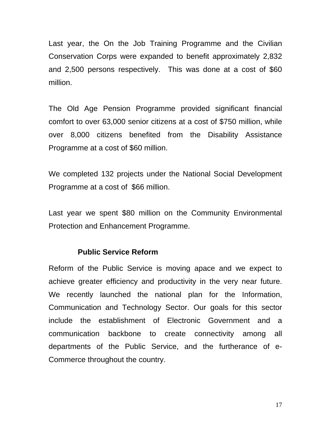Last year, the On the Job Training Programme and the Civilian Conservation Corps were expanded to benefit approximately 2,832 and 2,500 persons respectively. This was done at a cost of \$60 million.

The Old Age Pension Programme provided significant financial comfort to over 63,000 senior citizens at a cost of \$750 million, while over 8,000 citizens benefited from the Disability Assistance Programme at a cost of \$60 million.

We completed 132 projects under the National Social Development Programme at a cost of \$66 million.

Last year we spent \$80 million on the Community Environmental Protection and Enhancement Programme.

#### **Public Service Reform**

Reform of the Public Service is moving apace and we expect to achieve greater efficiency and productivity in the very near future. We recently launched the national plan for the Information, Communication and Technology Sector. Our goals for this sector include the establishment of Electronic Government and a communication backbone to create connectivity among all departments of the Public Service, and the furtherance of e-Commerce throughout the country.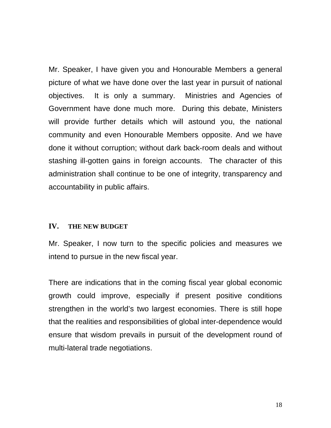Mr. Speaker, I have given you and Honourable Members a general picture of what we have done over the last year in pursuit of national objectives. It is only a summary. Ministries and Agencies of Government have done much more. During this debate, Ministers will provide further details which will astound you, the national community and even Honourable Members opposite. And we have done it without corruption; without dark back-room deals and without stashing ill-gotten gains in foreign accounts. The character of this administration shall continue to be one of integrity, transparency and accountability in public affairs.

#### **IV. THE NEW BUDGET**

Mr. Speaker, I now turn to the specific policies and measures we intend to pursue in the new fiscal year.

There are indications that in the coming fiscal year global economic growth could improve, especially if present positive conditions strengthen in the world's two largest economies. There is still hope that the realities and responsibilities of global inter-dependence would ensure that wisdom prevails in pursuit of the development round of multi-lateral trade negotiations.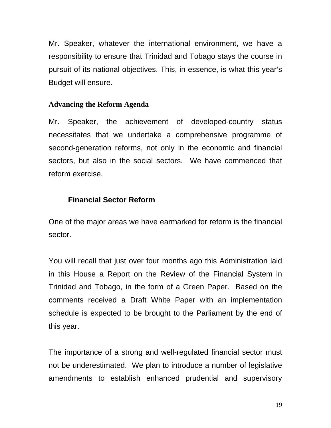Mr. Speaker, whatever the international environment, we have a responsibility to ensure that Trinidad and Tobago stays the course in pursuit of its national objectives. This, in essence, is what this year's Budget will ensure.

### **Advancing the Reform Agenda**

Mr. Speaker, the achievement of developed-country status necessitates that we undertake a comprehensive programme of second-generation reforms, not only in the economic and financial sectors, but also in the social sectors. We have commenced that reform exercise.

## **Financial Sector Reform**

One of the major areas we have earmarked for reform is the financial sector.

You will recall that just over four months ago this Administration laid in this House a Report on the Review of the Financial System in Trinidad and Tobago, in the form of a Green Paper. Based on the comments received a Draft White Paper with an implementation schedule is expected to be brought to the Parliament by the end of this year.

The importance of a strong and well-regulated financial sector must not be underestimated. We plan to introduce a number of legislative amendments to establish enhanced prudential and supervisory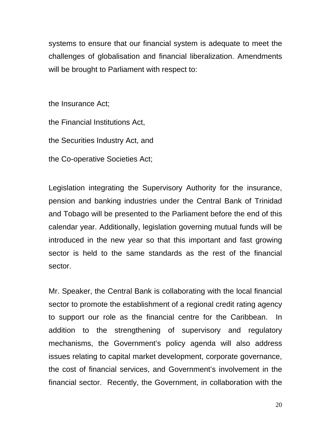systems to ensure that our financial system is adequate to meet the challenges of globalisation and financial liberalization. Amendments will be brought to Parliament with respect to:

the Insurance Act;

the Financial Institutions Act,

the Securities Industry Act, and

the Co-operative Societies Act;

Legislation integrating the Supervisory Authority for the insurance, pension and banking industries under the Central Bank of Trinidad and Tobago will be presented to the Parliament before the end of this calendar year. Additionally, legislation governing mutual funds will be introduced in the new year so that this important and fast growing sector is held to the same standards as the rest of the financial sector.

Mr. Speaker, the Central Bank is collaborating with the local financial sector to promote the establishment of a regional credit rating agency to support our role as the financial centre for the Caribbean. In addition to the strengthening of supervisory and regulatory mechanisms, the Government's policy agenda will also address issues relating to capital market development, corporate governance, the cost of financial services, and Government's involvement in the financial sector. Recently, the Government, in collaboration with the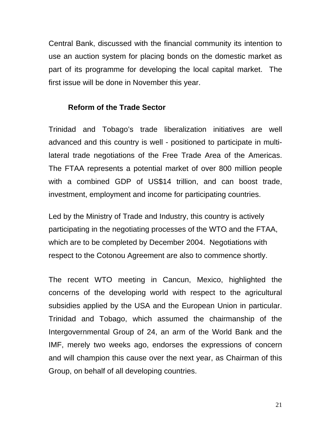Central Bank, discussed with the financial community its intention to use an auction system for placing bonds on the domestic market as part of its programme for developing the local capital market. The first issue will be done in November this year.

### **Reform of the Trade Sector**

Trinidad and Tobago's trade liberalization initiatives are well advanced and this country is well - positioned to participate in multilateral trade negotiations of the Free Trade Area of the Americas. The FTAA represents a potential market of over 800 million people with a combined GDP of US\$14 trillion, and can boost trade, investment, employment and income for participating countries.

Led by the Ministry of Trade and Industry, this country is actively participating in the negotiating processes of the WTO and the FTAA, which are to be completed by December 2004. Negotiations with respect to the Cotonou Agreement are also to commence shortly.

The recent WTO meeting in Cancun, Mexico, highlighted the concerns of the developing world with respect to the agricultural subsidies applied by the USA and the European Union in particular. Trinidad and Tobago, which assumed the chairmanship of the Intergovernmental Group of 24, an arm of the World Bank and the IMF, merely two weeks ago, endorses the expressions of concern and will champion this cause over the next year, as Chairman of this Group, on behalf of all developing countries.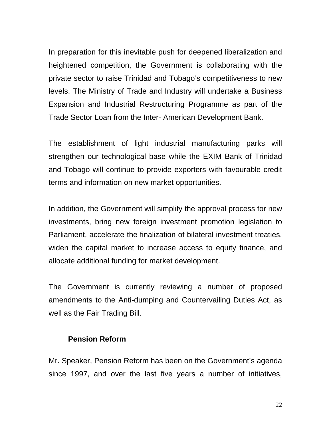In preparation for this inevitable push for deepened liberalization and heightened competition, the Government is collaborating with the private sector to raise Trinidad and Tobago's competitiveness to new levels. The Ministry of Trade and Industry will undertake a Business Expansion and Industrial Restructuring Programme as part of the Trade Sector Loan from the Inter- American Development Bank.

The establishment of light industrial manufacturing parks will strengthen our technological base while the EXIM Bank of Trinidad and Tobago will continue to provide exporters with favourable credit terms and information on new market opportunities.

In addition, the Government will simplify the approval process for new investments, bring new foreign investment promotion legislation to Parliament, accelerate the finalization of bilateral investment treaties, widen the capital market to increase access to equity finance, and allocate additional funding for market development.

The Government is currently reviewing a number of proposed amendments to the Anti-dumping and Countervailing Duties Act, as well as the Fair Trading Bill.

#### **Pension Reform**

Mr. Speaker, Pension Reform has been on the Government's agenda since 1997, and over the last five years a number of initiatives,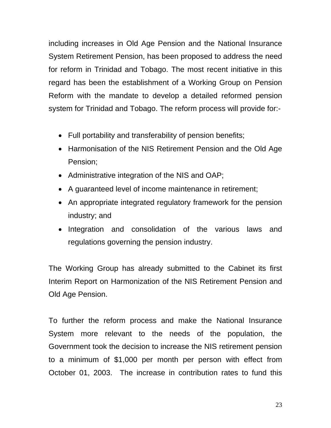including increases in Old Age Pension and the National Insurance System Retirement Pension, has been proposed to address the need for reform in Trinidad and Tobago. The most recent initiative in this regard has been the establishment of a Working Group on Pension Reform with the mandate to develop a detailed reformed pension system for Trinidad and Tobago. The reform process will provide for:-

- Full portability and transferability of pension benefits;
- Harmonisation of the NIS Retirement Pension and the Old Age Pension;
- Administrative integration of the NIS and OAP;
- A guaranteed level of income maintenance in retirement;
- An appropriate integrated regulatory framework for the pension industry; and
- Integration and consolidation of the various laws and regulations governing the pension industry.

The Working Group has already submitted to the Cabinet its first Interim Report on Harmonization of the NIS Retirement Pension and Old Age Pension.

To further the reform process and make the National Insurance System more relevant to the needs of the population, the Government took the decision to increase the NIS retirement pension to a minimum of \$1,000 per month per person with effect from October 01, 2003. The increase in contribution rates to fund this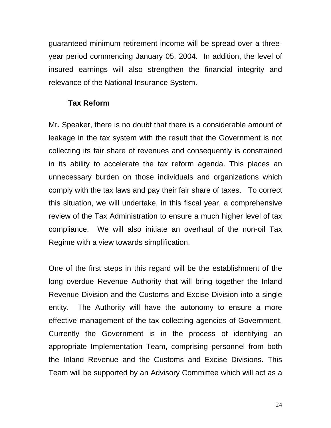guaranteed minimum retirement income will be spread over a threeyear period commencing January 05, 2004. In addition, the level of insured earnings will also strengthen the financial integrity and relevance of the National Insurance System.

#### **Tax Reform**

Mr. Speaker, there is no doubt that there is a considerable amount of leakage in the tax system with the result that the Government is not collecting its fair share of revenues and consequently is constrained in its ability to accelerate the tax reform agenda. This places an unnecessary burden on those individuals and organizations which comply with the tax laws and pay their fair share of taxes. To correct this situation, we will undertake, in this fiscal year, a comprehensive review of the Tax Administration to ensure a much higher level of tax compliance. We will also initiate an overhaul of the non-oil Tax Regime with a view towards simplification.

One of the first steps in this regard will be the establishment of the long overdue Revenue Authority that will bring together the Inland Revenue Division and the Customs and Excise Division into a single entity. The Authority will have the autonomy to ensure a more effective management of the tax collecting agencies of Government. Currently the Government is in the process of identifying an appropriate Implementation Team, comprising personnel from both the Inland Revenue and the Customs and Excise Divisions. This Team will be supported by an Advisory Committee which will act as a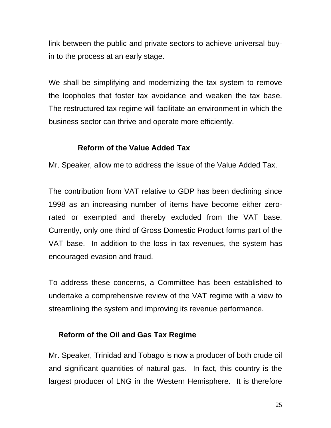link between the public and private sectors to achieve universal buyin to the process at an early stage.

We shall be simplifying and modernizing the tax system to remove the loopholes that foster tax avoidance and weaken the tax base. The restructured tax regime will facilitate an environment in which the business sector can thrive and operate more efficiently.

## **Reform of the Value Added Tax**

Mr. Speaker, allow me to address the issue of the Value Added Tax.

The contribution from VAT relative to GDP has been declining since 1998 as an increasing number of items have become either zerorated or exempted and thereby excluded from the VAT base. Currently, only one third of Gross Domestic Product forms part of the VAT base. In addition to the loss in tax revenues, the system has encouraged evasion and fraud.

To address these concerns, a Committee has been established to undertake a comprehensive review of the VAT regime with a view to streamlining the system and improving its revenue performance.

## **Reform of the Oil and Gas Tax Regime**

Mr. Speaker, Trinidad and Tobago is now a producer of both crude oil and significant quantities of natural gas. In fact, this country is the largest producer of LNG in the Western Hemisphere. It is therefore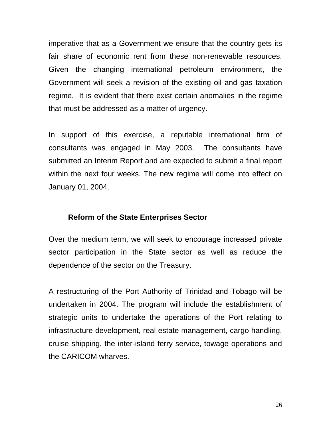imperative that as a Government we ensure that the country gets its fair share of economic rent from these non-renewable resources. Given the changing international petroleum environment, the Government will seek a revision of the existing oil and gas taxation regime. It is evident that there exist certain anomalies in the regime that must be addressed as a matter of urgency.

In support of this exercise, a reputable international firm of consultants was engaged in May 2003. The consultants have submitted an Interim Report and are expected to submit a final report within the next four weeks. The new regime will come into effect on January 01, 2004.

#### **Reform of the State Enterprises Sector**

Over the medium term, we will seek to encourage increased private sector participation in the State sector as well as reduce the dependence of the sector on the Treasury.

A restructuring of the Port Authority of Trinidad and Tobago will be undertaken in 2004. The program will include the establishment of strategic units to undertake the operations of the Port relating to infrastructure development, real estate management, cargo handling, cruise shipping, the inter-island ferry service, towage operations and the CARICOM wharves.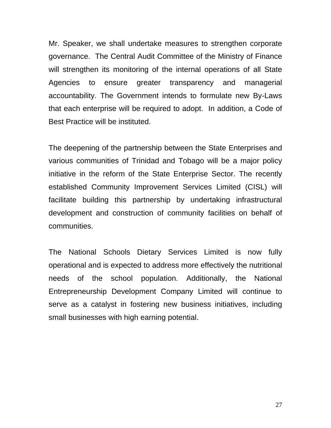Mr. Speaker, we shall undertake measures to strengthen corporate governance. The Central Audit Committee of the Ministry of Finance will strengthen its monitoring of the internal operations of all State Agencies to ensure greater transparency and managerial accountability. The Government intends to formulate new By-Laws that each enterprise will be required to adopt. In addition, a Code of Best Practice will be instituted.

The deepening of the partnership between the State Enterprises and various communities of Trinidad and Tobago will be a major policy initiative in the reform of the State Enterprise Sector. The recently established Community Improvement Services Limited (CISL) will facilitate building this partnership by undertaking infrastructural development and construction of community facilities on behalf of communities.

The National Schools Dietary Services Limited is now fully operational and is expected to address more effectively the nutritional needs of the school population. Additionally, the National Entrepreneurship Development Company Limited will continue to serve as a catalyst in fostering new business initiatives, including small businesses with high earning potential.

27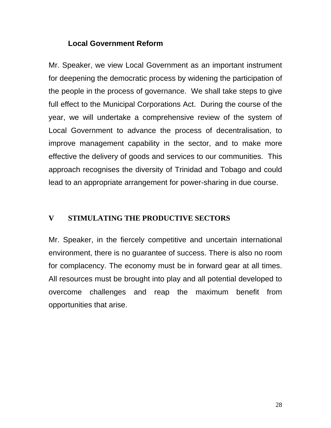### **Local Government Reform**

Mr. Speaker, we view Local Government as an important instrument for deepening the democratic process by widening the participation of the people in the process of governance. We shall take steps to give full effect to the Municipal Corporations Act. During the course of the year, we will undertake a comprehensive review of the system of Local Government to advance the process of decentralisation, to improve management capability in the sector, and to make more effective the delivery of goods and services to our communities. This approach recognises the diversity of Trinidad and Tobago and could lead to an appropriate arrangement for power-sharing in due course.

### **V STIMULATING THE PRODUCTIVE SECTORS**

Mr. Speaker, in the fiercely competitive and uncertain international environment, there is no guarantee of success. There is also no room for complacency. The economy must be in forward gear at all times. All resources must be brought into play and all potential developed to overcome challenges and reap the maximum benefit from opportunities that arise.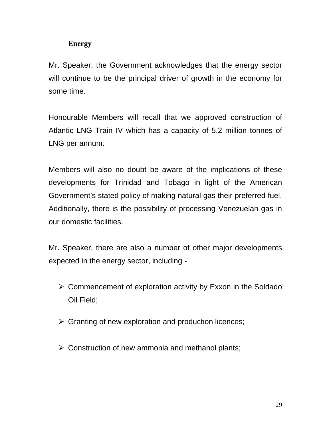# **Energy**

Mr. Speaker, the Government acknowledges that the energy sector will continue to be the principal driver of growth in the economy for some time.

Honourable Members will recall that we approved construction of Atlantic LNG Train IV which has a capacity of 5.2 million tonnes of LNG per annum.

Members will also no doubt be aware of the implications of these developments for Trinidad and Tobago in light of the American Government's stated policy of making natural gas their preferred fuel. Additionally, there is the possibility of processing Venezuelan gas in our domestic facilities.

Mr. Speaker, there are also a number of other major developments expected in the energy sector, including -

- $\triangleright$  Commencement of exploration activity by Exxon in the Soldado Oil Field;
- $\triangleright$  Granting of new exploration and production licences;
- $\triangleright$  Construction of new ammonia and methanol plants;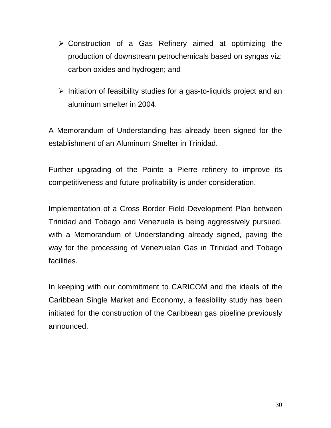- $\triangleright$  Construction of a Gas Refinery aimed at optimizing the production of downstream petrochemicals based on syngas viz: carbon oxides and hydrogen; and
- $\triangleright$  Initiation of feasibility studies for a gas-to-liquids project and an aluminum smelter in 2004.

A Memorandum of Understanding has already been signed for the establishment of an Aluminum Smelter in Trinidad.

Further upgrading of the Pointe a Pierre refinery to improve its competitiveness and future profitability is under consideration.

Implementation of a Cross Border Field Development Plan between Trinidad and Tobago and Venezuela is being aggressively pursued, with a Memorandum of Understanding already signed, paving the way for the processing of Venezuelan Gas in Trinidad and Tobago facilities.

In keeping with our commitment to CARICOM and the ideals of the Caribbean Single Market and Economy, a feasibility study has been initiated for the construction of the Caribbean gas pipeline previously announced.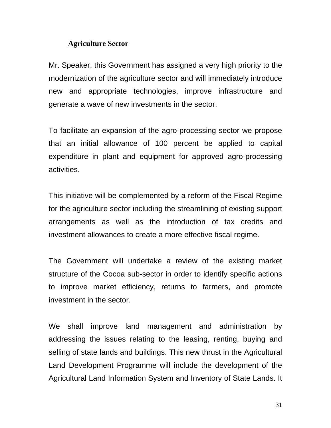#### **Agriculture Sector**

Mr. Speaker, this Government has assigned a very high priority to the modernization of the agriculture sector and will immediately introduce new and appropriate technologies, improve infrastructure and generate a wave of new investments in the sector.

To facilitate an expansion of the agro-processing sector we propose that an initial allowance of 100 percent be applied to capital expenditure in plant and equipment for approved agro-processing activities.

This initiative will be complemented by a reform of the Fiscal Regime for the agriculture sector including the streamlining of existing support arrangements as well as the introduction of tax credits and investment allowances to create a more effective fiscal regime.

The Government will undertake a review of the existing market structure of the Cocoa sub-sector in order to identify specific actions to improve market efficiency, returns to farmers, and promote investment in the sector.

 We shall improve land management and administration by addressing the issues relating to the leasing, renting, buying and selling of state lands and buildings. This new thrust in the Agricultural Land Development Programme will include the development of the Agricultural Land Information System and Inventory of State Lands. It

31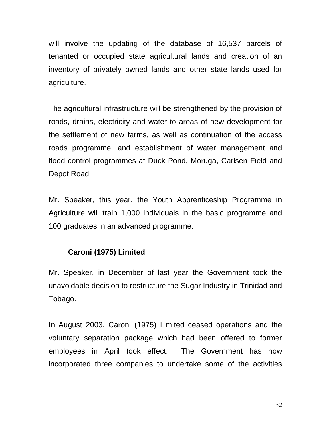will involve the updating of the database of 16,537 parcels of tenanted or occupied state agricultural lands and creation of an inventory of privately owned lands and other state lands used for agriculture.

The agricultural infrastructure will be strengthened by the provision of roads, drains, electricity and water to areas of new development for the settlement of new farms, as well as continuation of the access roads programme, and establishment of water management and flood control programmes at Duck Pond, Moruga, Carlsen Field and Depot Road.

Mr. Speaker, this year, the Youth Apprenticeship Programme in Agriculture will train 1,000 individuals in the basic programme and 100 graduates in an advanced programme.

## **Caroni (1975) Limited**

Mr. Speaker, in December of last year the Government took the unavoidable decision to restructure the Sugar Industry in Trinidad and Tobago.

In August 2003, Caroni (1975) Limited ceased operations and the voluntary separation package which had been offered to former employees in April took effect. The Government has now incorporated three companies to undertake some of the activities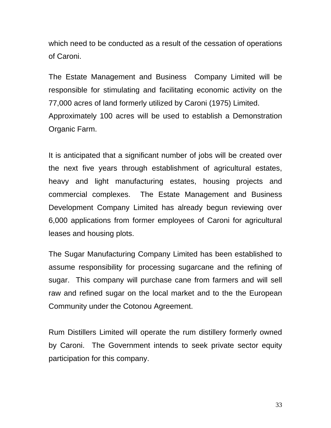which need to be conducted as a result of the cessation of operations of Caroni.

The Estate Management and Business Company Limited will be responsible for stimulating and facilitating economic activity on the 77,000 acres of land formerly utilized by Caroni (1975) Limited. Approximately 100 acres will be used to establish a Demonstration Organic Farm.

It is anticipated that a significant number of jobs will be created over the next five years through establishment of agricultural estates, heavy and light manufacturing estates, housing projects and commercial complexes. The Estate Management and Business Development Company Limited has already begun reviewing over 6,000 applications from former employees of Caroni for agricultural leases and housing plots.

The Sugar Manufacturing Company Limited has been established to assume responsibility for processing sugarcane and the refining of sugar. This company will purchase cane from farmers and will sell raw and refined sugar on the local market and to the the European Community under the Cotonou Agreement.

Rum Distillers Limited will operate the rum distillery formerly owned by Caroni. The Government intends to seek private sector equity participation for this company.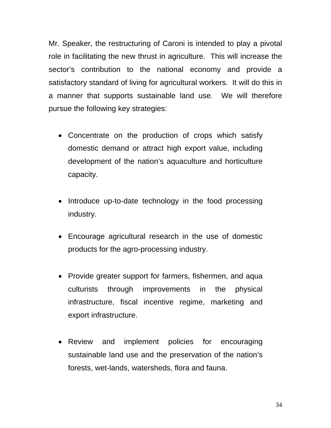Mr. Speaker, the restructuring of Caroni is intended to play a pivotal role in facilitating the new thrust in agriculture. This will increase the sector's contribution to the national economy and provide a satisfactory standard of living for agricultural workers. It will do this in a manner that supports sustainable land use. We will therefore pursue the following key strategies:

- Concentrate on the production of crops which satisfy domestic demand or attract high export value, including development of the nation's aquaculture and horticulture capacity.
- Introduce up-to-date technology in the food processing industry.
- Encourage agricultural research in the use of domestic products for the agro-processing industry.
- Provide greater support for farmers, fishermen, and aqua culturists through improvements in the physical infrastructure, fiscal incentive regime, marketing and export infrastructure.
- Review and implement policies for encouraging sustainable land use and the preservation of the nation's forests, wet-lands, watersheds, flora and fauna.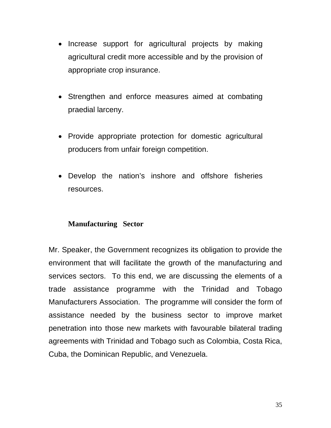- Increase support for agricultural projects by making agricultural credit more accessible and by the provision of appropriate crop insurance.
- Strengthen and enforce measures aimed at combating praedial larceny.
- Provide appropriate protection for domestic agricultural producers from unfair foreign competition.
- Develop the nation's inshore and offshore fisheries resources.

## **Manufacturing Sector**

Mr. Speaker, the Government recognizes its obligation to provide the environment that will facilitate the growth of the manufacturing and services sectors. To this end, we are discussing the elements of a trade assistance programme with the Trinidad and Tobago Manufacturers Association. The programme will consider the form of assistance needed by the business sector to improve market penetration into those new markets with favourable bilateral trading agreements with Trinidad and Tobago such as Colombia, Costa Rica, Cuba, the Dominican Republic, and Venezuela.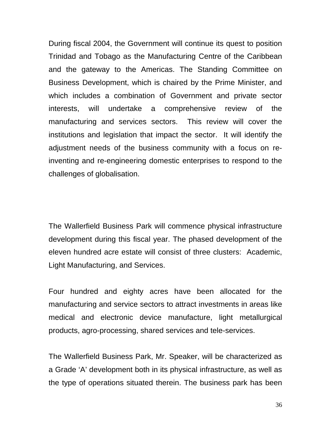During fiscal 2004, the Government will continue its quest to position Trinidad and Tobago as the Manufacturing Centre of the Caribbean and the gateway to the Americas. The Standing Committee on Business Development, which is chaired by the Prime Minister, and which includes a combination of Government and private sector interests, will undertake a comprehensive review of the manufacturing and services sectors. This review will cover the institutions and legislation that impact the sector. It will identify the adjustment needs of the business community with a focus on reinventing and re-engineering domestic enterprises to respond to the challenges of globalisation.

The Wallerfield Business Park will commence physical infrastructure development during this fiscal year. The phased development of the eleven hundred acre estate will consist of three clusters: Academic, Light Manufacturing, and Services.

Four hundred and eighty acres have been allocated for the manufacturing and service sectors to attract investments in areas like medical and electronic device manufacture, light metallurgical products, agro-processing, shared services and tele-services.

The Wallerfield Business Park, Mr. Speaker, will be characterized as a Grade 'A' development both in its physical infrastructure, as well as the type of operations situated therein. The business park has been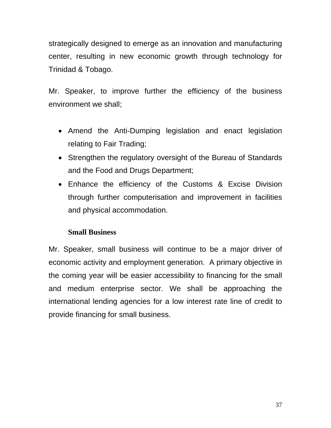strategically designed to emerge as an innovation and manufacturing center, resulting in new economic growth through technology for Trinidad & Tobago.

Mr. Speaker, to improve further the efficiency of the business environment we shall;

- Amend the Anti-Dumping legislation and enact legislation relating to Fair Trading;
- Strengthen the regulatory oversight of the Bureau of Standards and the Food and Drugs Department;
- Enhance the efficiency of the Customs & Excise Division through further computerisation and improvement in facilities and physical accommodation.

## **Small Business**

Mr. Speaker, small business will continue to be a major driver of economic activity and employment generation. A primary objective in the coming year will be easier accessibility to financing for the small and medium enterprise sector. We shall be approaching the international lending agencies for a low interest rate line of credit to provide financing for small business.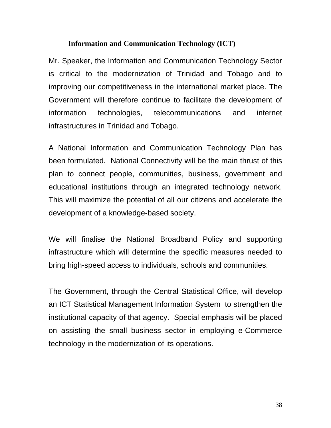#### **Information and Communication Technology (ICT)**

Mr. Speaker, the Information and Communication Technology Sector is critical to the modernization of Trinidad and Tobago and to improving our competitiveness in the international market place. The Government will therefore continue to facilitate the development of information technologies, telecommunications and internet infrastructures in Trinidad and Tobago.

A National Information and Communication Technology Plan has been formulated. National Connectivity will be the main thrust of this plan to connect people, communities, business, government and educational institutions through an integrated technology network. This will maximize the potential of all our citizens and accelerate the development of a knowledge-based society.

We will finalise the National Broadband Policy and supporting infrastructure which will determine the specific measures needed to bring high-speed access to individuals, schools and communities.

The Government, through the Central Statistical Office, will develop an ICT Statistical Management Information System to strengthen the institutional capacity of that agency.Special emphasis will be placed on assisting the small business sector in employing e-Commerce technology in the modernization of its operations.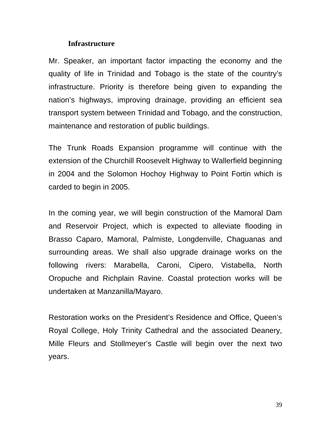#### **Infrastructure**

Mr. Speaker, an important factor impacting the economy and the quality of life in Trinidad and Tobago is the state of the country's infrastructure. Priority is therefore being given to expanding the nation's highways, improving drainage, providing an efficient sea transport system between Trinidad and Tobago, and the construction, maintenance and restoration of public buildings.

The Trunk Roads Expansion programme will continue with the extension of the Churchill Roosevelt Highway to Wallerfield beginning in 2004 and the Solomon Hochoy Highway to Point Fortin which is carded to begin in 2005.

In the coming year, we will begin construction of the Mamoral Dam and Reservoir Project, which is expected to alleviate flooding in Brasso Caparo, Mamoral, Palmiste, Longdenville, Chaguanas and surrounding areas. We shall also upgrade drainage works on the following rivers: Marabella, Caroni, Cipero, Vistabella, North Oropuche and Richplain Ravine. Coastal protection works will be undertaken at Manzanilla/Mayaro.

Restoration works on the President's Residence and Office, Queen's Royal College, Holy Trinity Cathedral and the associated Deanery, Mille Fleurs and Stollmeyer's Castle will begin over the next two years.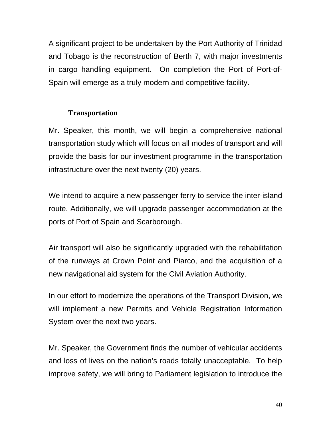A significant project to be undertaken by the Port Authority of Trinidad and Tobago is the reconstruction of Berth 7, with major investments in cargo handling equipment. On completion the Port of Port-of-Spain will emerge as a truly modern and competitive facility.

## **Transportation**

Mr. Speaker, this month, we will begin a comprehensive national transportation study which will focus on all modes of transport and will provide the basis for our investment programme in the transportation infrastructure over the next twenty (20) years.

We intend to acquire a new passenger ferry to service the inter-island route. Additionally, we will upgrade passenger accommodation at the ports of Port of Spain and Scarborough.

Air transport will also be significantly upgraded with the rehabilitation of the runways at Crown Point and Piarco, and the acquisition of a new navigational aid system for the Civil Aviation Authority.

In our effort to modernize the operations of the Transport Division, we will implement a new Permits and Vehicle Registration Information System over the next two years.

Mr. Speaker, the Government finds the number of vehicular accidents and loss of lives on the nation's roads totally unacceptable. To help improve safety, we will bring to Parliament legislation to introduce the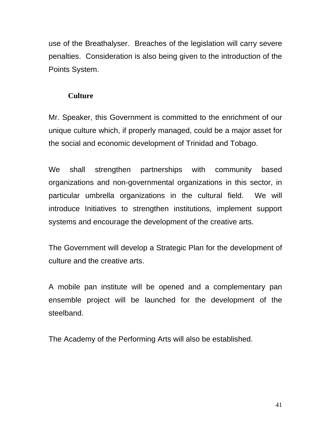use of the Breathalyser. Breaches of the legislation will carry severe penalties. Consideration is also being given to the introduction of the Points System.

## **Culture**

Mr. Speaker, this Government is committed to the enrichment of our unique culture which, if properly managed, could be a major asset for the social and economic development of Trinidad and Tobago.

We shall strengthen partnerships with community based organizations and non-governmental organizations in this sector, in particular umbrella organizations in the cultural field. We will introduce Initiatives to strengthen institutions, implement support systems and encourage the development of the creative arts.

The Government will develop a Strategic Plan for the development of culture and the creative arts.

A mobile pan institute will be opened and a complementary pan ensemble project will be launched for the development of the steelband.

The Academy of the Performing Arts will also be established.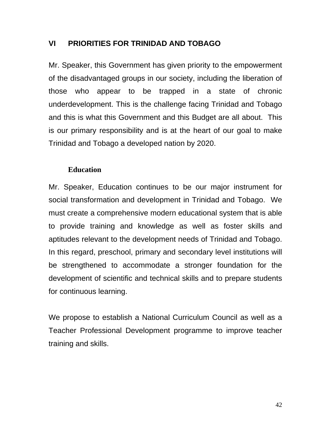## **VI PRIORITIES FOR TRINIDAD AND TOBAGO**

Mr. Speaker, this Government has given priority to the empowerment of the disadvantaged groups in our society, including the liberation of those who appear to be trapped in a state of chronic underdevelopment. This is the challenge facing Trinidad and Tobago and this is what this Government and this Budget are all about. This is our primary responsibility and is at the heart of our goal to make Trinidad and Tobago a developed nation by 2020.

#### **Education**

Mr. Speaker, Education continues to be our major instrument for social transformation and development in Trinidad and Tobago. We must create a comprehensive modern educational system that is able to provide training and knowledge as well as foster skills and aptitudes relevant to the development needs of Trinidad and Tobago. In this regard, preschool, primary and secondary level institutions will be strengthened to accommodate a stronger foundation for the development of scientific and technical skills and to prepare students for continuous learning.

We propose to establish a National Curriculum Council as well as a Teacher Professional Development programme to improve teacher training and skills.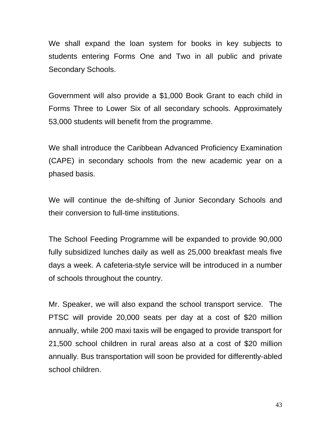We shall expand the loan system for books in key subjects to students entering Forms One and Two in all public and private Secondary Schools.

Government will also provide a \$1,000 Book Grant to each child in Forms Three to Lower Six of all secondary schools. Approximately 53,000 students will benefit from the programme.

We shall introduce the Caribbean Advanced Proficiency Examination (CAPE) in secondary schools from the new academic year on a phased basis.

We will continue the de-shifting of Junior Secondary Schools and their conversion to full-time institutions.

The School Feeding Programme will be expanded to provide 90,000 fully subsidized lunches daily as well as 25,000 breakfast meals five days a week. A cafeteria-style service will be introduced in a number of schools throughout the country.

Mr. Speaker, we will also expand the school transport service. The PTSC will provide 20,000 seats per day at a cost of \$20 million annually, while 200 maxi taxis will be engaged to provide transport for 21,500 school children in rural areas also at a cost of \$20 million annually. Bus transportation will soon be provided for differently-abled school children.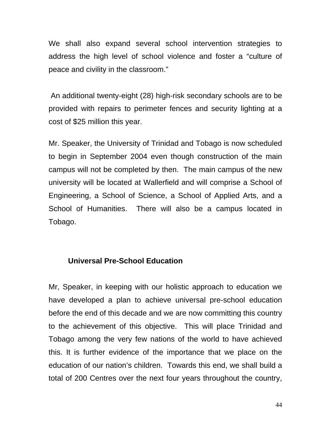We shall also expand several school intervention strategies to address the high level of school violence and foster a "culture of peace and civility in the classroom."

 An additional twenty-eight (28) high-risk secondary schools are to be provided with repairs to perimeter fences and security lighting at a cost of \$25 million this year.

Mr. Speaker, the University of Trinidad and Tobago is now scheduled to begin in September 2004 even though construction of the main campus will not be completed by then. The main campus of the new university will be located at Wallerfield and will comprise a School of Engineering, a School of Science, a School of Applied Arts, and a School of Humanities. There will also be a campus located in Tobago.

## **Universal Pre-School Education**

Mr, Speaker, in keeping with our holistic approach to education we have developed a plan to achieve universal pre-school education before the end of this decade and we are now committing this country to the achievement of this objective. This will place Trinidad and Tobago among the very few nations of the world to have achieved this. It is further evidence of the importance that we place on the education of our nation's children. Towards this end, we shall build a total of 200 Centres over the next four years throughout the country,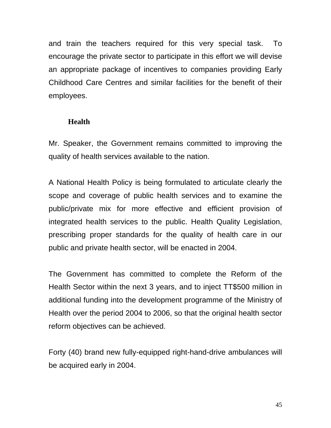and train the teachers required for this very special task. To encourage the private sector to participate in this effort we will devise an appropriate package of incentives to companies providing Early Childhood Care Centres and similar facilities for the benefit of their employees.

#### **Health**

Mr. Speaker, the Government remains committed to improving the quality of health services available to the nation.

A National Health Policy is being formulated to articulate clearly the scope and coverage of public health services and to examine the public/private mix for more effective and efficient provision of integrated health services to the public. Health Quality Legislation, prescribing proper standards for the quality of health care in our public and private health sector, will be enacted in 2004.

The Government has committed to complete the Reform of the Health Sector within the next 3 years, and to inject TT\$500 million in additional funding into the development programme of the Ministry of Health over the period 2004 to 2006, so that the original health sector reform objectives can be achieved.

Forty (40) brand new fully-equipped right-hand-drive ambulances will be acquired early in 2004.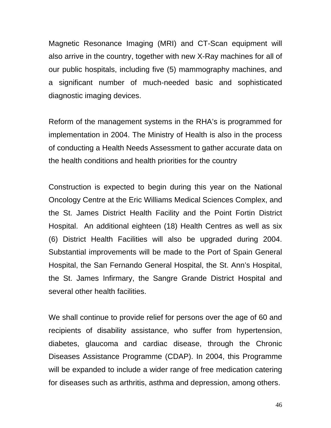Magnetic Resonance Imaging (MRI) and CT-Scan equipment will also arrive in the country, together with new X-Ray machines for all of our public hospitals, including five (5) mammography machines, and a significant number of much-needed basic and sophisticated diagnostic imaging devices.

Reform of the management systems in the RHA's is programmed for implementation in 2004. The Ministry of Health is also in the process of conducting a Health Needs Assessment to gather accurate data on the health conditions and health priorities for the country

Construction is expected to begin during this year on the National Oncology Centre at the Eric Williams Medical Sciences Complex, and the St. James District Health Facility and the Point Fortin District Hospital. An additional eighteen (18) Health Centres as well as six (6) District Health Facilities will also be upgraded during 2004. Substantial improvements will be made to the Port of Spain General Hospital, the San Fernando General Hospital, the St. Ann's Hospital, the St. James Infirmary, the Sangre Grande District Hospital and several other health facilities.

We shall continue to provide relief for persons over the age of 60 and recipients of disability assistance, who suffer from hypertension, diabetes, glaucoma and cardiac disease, through the Chronic Diseases Assistance Programme (CDAP). In 2004, this Programme will be expanded to include a wider range of free medication catering for diseases such as arthritis, asthma and depression, among others.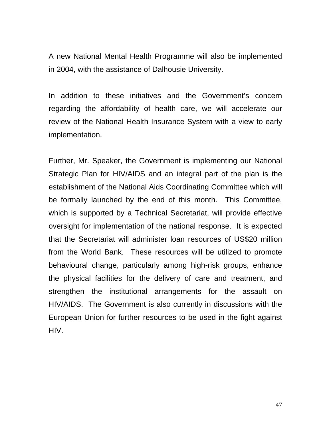A new National Mental Health Programme will also be implemented in 2004, with the assistance of Dalhousie University.

In addition to these initiatives and the Government's concern regarding the affordability of health care, we will accelerate our review of the National Health Insurance System with a view to early implementation.

Further, Mr. Speaker, the Government is implementing our National Strategic Plan for HIV/AIDS and an integral part of the plan is the establishment of the National Aids Coordinating Committee which will be formally launched by the end of this month. This Committee, which is supported by a Technical Secretariat, will provide effective oversight for implementation of the national response. It is expected that the Secretariat will administer loan resources of US\$20 million from the World Bank. These resources will be utilized to promote behavioural change, particularly among high-risk groups, enhance the physical facilities for the delivery of care and treatment, and strengthen the institutional arrangements for the assault on HIV/AIDS. The Government is also currently in discussions with the European Union for further resources to be used in the fight against HIV.

47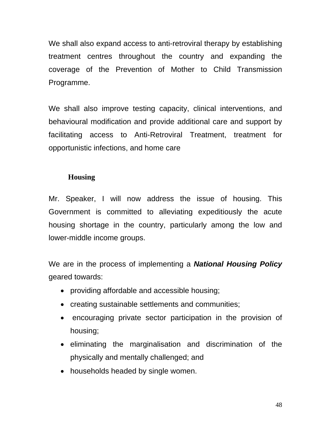We shall also expand access to anti-retroviral therapy by establishing treatment centres throughout the country and expanding the coverage of the Prevention of Mother to Child Transmission Programme.

We shall also improve testing capacity, clinical interventions, and behavioural modification and provide additional care and support by facilitating access to Anti-Retroviral Treatment, treatment for opportunistic infections, and home care

## **Housing**

Mr. Speaker, I will now address the issue of housing. This Government is committed to alleviating expeditiously the acute housing shortage in the country, particularly among the low and lower-middle income groups.

We are in the process of implementing a *National Housing Policy*  geared towards:

- providing affordable and accessible housing;
- creating sustainable settlements and communities;
- encouraging private sector participation in the provision of housing;
- eliminating the marginalisation and discrimination of the physically and mentally challenged; and
- households headed by single women.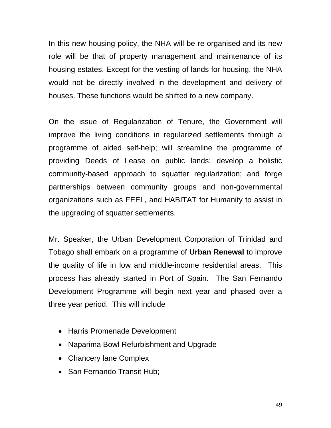In this new housing policy, the NHA will be re-organised and its new role will be that of property management and maintenance of its housing estates. Except for the vesting of lands for housing, the NHA would not be directly involved in the development and delivery of houses. These functions would be shifted to a new company.

On the issue of Regularization of Tenure, the Government will improve the living conditions in regularized settlements through a programme of aided self-help; will streamline the programme of providing Deeds of Lease on public lands; develop a holistic community-based approach to squatter regularization; and forge partnerships between community groups and non-governmental organizations such as FEEL, and HABITAT for Humanity to assist in the upgrading of squatter settlements.

Mr. Speaker, the Urban Development Corporation of Trinidad and Tobago shall embark on a programme of **Urban Renewal** to improve the quality of life in low and middle-income residential areas. This process has already started in Port of Spain. The San Fernando Development Programme will begin next year and phased over a three year period. This will include

- Harris Promenade Development
- Naparima Bowl Refurbishment and Upgrade
- Chancery lane Complex
- San Fernando Transit Hub;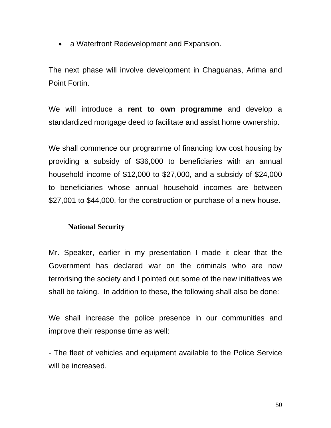• a Waterfront Redevelopment and Expansion.

The next phase will involve development in Chaguanas, Arima and Point Fortin.

We will introduce a **rent to own programme** and develop a standardized mortgage deed to facilitate and assist home ownership.

We shall commence our programme of financing low cost housing by providing a subsidy of \$36,000 to beneficiaries with an annual household income of \$12,000 to \$27,000, and a subsidy of \$24,000 to beneficiaries whose annual household incomes are between \$27,001 to \$44,000, for the construction or purchase of a new house.

## **National Security**

Mr. Speaker, earlier in my presentation I made it clear that the Government has declared war on the criminals who are now terrorising the society and I pointed out some of the new initiatives we shall be taking. In addition to these, the following shall also be done:

We shall increase the police presence in our communities and improve their response time as well:

- The fleet of vehicles and equipment available to the Police Service will be increased.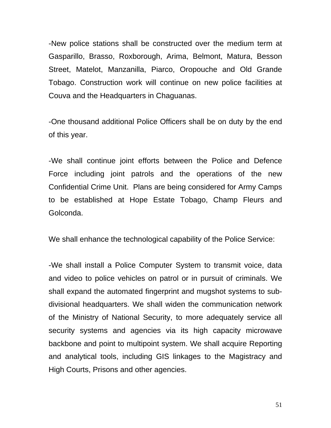-New police stations shall be constructed over the medium term at Gasparillo, Brasso, Roxborough, Arima, Belmont, Matura, Besson Street, Matelot, Manzanilla, Piarco, Oropouche and Old Grande Tobago. Construction work will continue on new police facilities at Couva and the Headquarters in Chaguanas.

-One thousand additional Police Officers shall be on duty by the end of this year.

-We shall continue joint efforts between the Police and Defence Force including joint patrols and the operations of the new Confidential Crime Unit. Plans are being considered for Army Camps to be established at Hope Estate Tobago, Champ Fleurs and Golconda.

We shall enhance the technological capability of the Police Service:

-We shall install a Police Computer System to transmit voice, data and video to police vehicles on patrol or in pursuit of criminals. We shall expand the automated fingerprint and mugshot systems to subdivisional headquarters. We shall widen the communication network of the Ministry of National Security, to more adequately service all security systems and agencies via its high capacity microwave backbone and point to multipoint system. We shall acquire Reporting and analytical tools, including GIS linkages to the Magistracy and High Courts, Prisons and other agencies.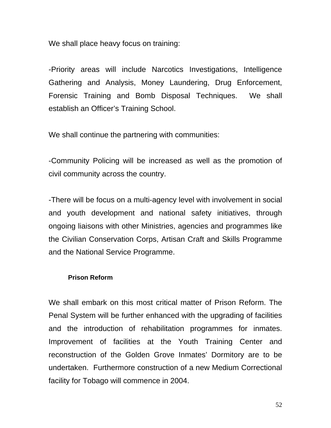We shall place heavy focus on training:

-Priority areas will include Narcotics Investigations, Intelligence Gathering and Analysis, Money Laundering, Drug Enforcement, Forensic Training and Bomb Disposal Techniques. We shall establish an Officer's Training School.

We shall continue the partnering with communities:

-Community Policing will be increased as well as the promotion of civil community across the country.

-There will be focus on a multi-agency level with involvement in social and youth development and national safety initiatives, through ongoing liaisons with other Ministries, agencies and programmes like the Civilian Conservation Corps, Artisan Craft and Skills Programme and the National Service Programme.

#### **Prison Reform**

We shall embark on this most critical matter of Prison Reform. The Penal System will be further enhanced with the upgrading of facilities and the introduction of rehabilitation programmes for inmates. Improvement of facilities at the Youth Training Center and reconstruction of the Golden Grove Inmates' Dormitory are to be undertaken. Furthermore construction of a new Medium Correctional facility for Tobago will commence in 2004.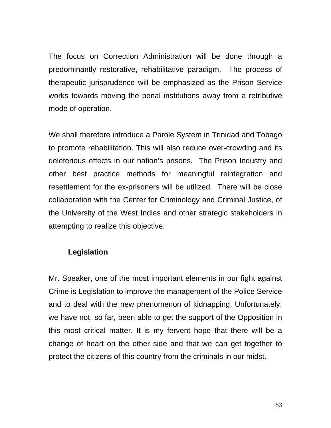The focus on Correction Administration will be done through a predominantly restorative, rehabilitative paradigm. The process of therapeutic jurisprudence will be emphasized as the Prison Service works towards moving the penal institutions away from a retributive mode of operation.

We shall therefore introduce a Parole System in Trinidad and Tobago to promote rehabilitation. This will also reduce over-crowding and its deleterious effects in our nation's prisons. The Prison Industry and other best practice methods for meaningful reintegration and resettlement for the ex-prisoners will be utilized. There will be close collaboration with the Center for Criminology and Criminal Justice, of the University of the West Indies and other strategic stakeholders in attempting to realize this objective.

## **Legislation**

Mr. Speaker, one of the most important elements in our fight against Crime is Legislation to improve the management of the Police Service and to deal with the new phenomenon of kidnapping. Unfortunately, we have not, so far, been able to get the support of the Opposition in this most critical matter. It is my fervent hope that there will be a change of heart on the other side and that we can get together to protect the citizens of this country from the criminals in our midst.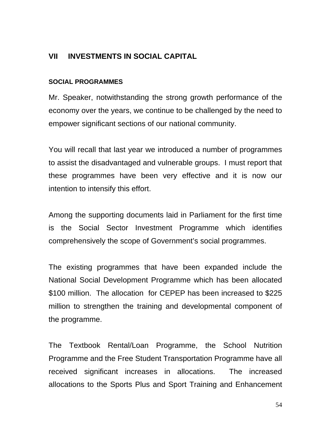## **VII INVESTMENTS IN SOCIAL CAPITAL**

#### **SOCIAL PROGRAMMES**

Mr. Speaker, notwithstanding the strong growth performance of the economy over the years, we continue to be challenged by the need to empower significant sections of our national community.

You will recall that last year we introduced a number of programmes to assist the disadvantaged and vulnerable groups. I must report that these programmes have been very effective and it is now our intention to intensify this effort.

Among the supporting documents laid in Parliament for the first time is the Social Sector Investment Programme which identifies comprehensively the scope of Government's social programmes.

The existing programmes that have been expanded include the National Social Development Programme which has been allocated \$100 million. The allocation for CEPEP has been increased to \$225 million to strengthen the training and developmental component of the programme.

The Textbook Rental/Loan Programme, the School Nutrition Programme and the Free Student Transportation Programme have all received significant increases in allocations. The increased allocations to the Sports Plus and Sport Training and Enhancement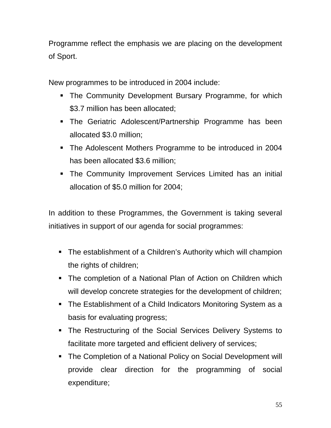Programme reflect the emphasis we are placing on the development of Sport.

New programmes to be introduced in 2004 include:

- **The Community Development Bursary Programme, for which** \$3.7 million has been allocated;
- **The Geriatric Adolescent/Partnership Programme has been** allocated \$3.0 million;
- **The Adolescent Mothers Programme to be introduced in 2004** has been allocated \$3.6 million;
- **•** The Community Improvement Services Limited has an initial allocation of \$5.0 million for 2004;

In addition to these Programmes, the Government is taking several initiatives in support of our agenda for social programmes:

- The establishment of a Children's Authority which will champion the rights of children;
- **EXTE:** The completion of a National Plan of Action on Children which will develop concrete strategies for the development of children;
- **The Establishment of a Child Indicators Monitoring System as a** basis for evaluating progress;
- **The Restructuring of the Social Services Delivery Systems to** facilitate more targeted and efficient delivery of services;
- **The Completion of a National Policy on Social Development will** provide clear direction for the programming of social expenditure;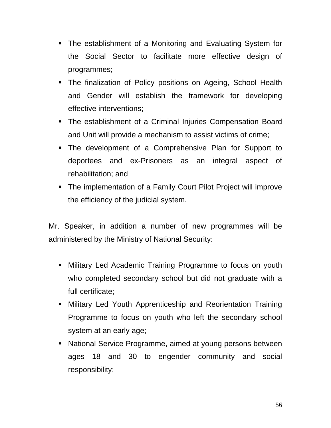- **The establishment of a Monitoring and Evaluating System for** the Social Sector to facilitate more effective design of programmes;
- **The finalization of Policy positions on Ageing, School Health** and Gender will establish the framework for developing effective interventions;
- **The establishment of a Criminal Injuries Compensation Board** and Unit will provide a mechanism to assist victims of crime;
- **The development of a Comprehensive Plan for Support to** deportees and ex-Prisoners as an integral aspect of rehabilitation; and
- **The implementation of a Family Court Pilot Project will improve** the efficiency of the judicial system.

Mr. Speaker, in addition a number of new programmes will be administered by the Ministry of National Security:

- **Military Led Academic Training Programme to focus on youth** who completed secondary school but did not graduate with a full certificate;
- **EXED Military Led Youth Apprenticeship and Reorientation Training** Programme to focus on youth who left the secondary school system at an early age;
- **EXE** National Service Programme, aimed at young persons between ages 18 and 30 to engender community and social responsibility;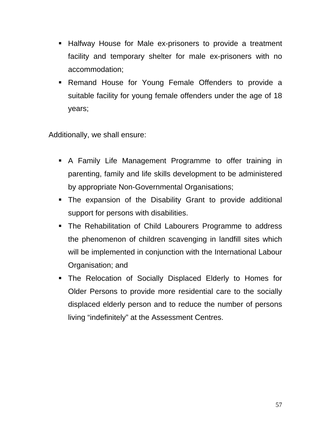- **E** Halfway House for Male ex-prisoners to provide a treatment facility and temporary shelter for male ex-prisoners with no accommodation;
- **EXECT** Remand House for Young Female Offenders to provide a suitable facility for young female offenders under the age of 18 years;

Additionally, we shall ensure:

- **A** Family Life Management Programme to offer training in parenting, family and life skills development to be administered by appropriate Non-Governmental Organisations;
- **•** The expansion of the Disability Grant to provide additional support for persons with disabilities.
- **The Rehabilitation of Child Labourers Programme to address** the phenomenon of children scavenging in landfill sites which will be implemented in conjunction with the International Labour Organisation; and
- **•** The Relocation of Socially Displaced Elderly to Homes for Older Persons to provide more residential care to the socially displaced elderly person and to reduce the number of persons living "indefinitely" at the Assessment Centres.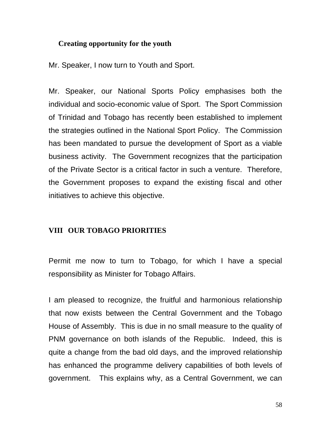#### **Creating opportunity for the youth**

Mr. Speaker, I now turn to Youth and Sport.

Mr. Speaker, our National Sports Policy emphasises both the individual and socio-economic value of Sport. The Sport Commission of Trinidad and Tobago has recently been established to implement the strategies outlined in the National Sport Policy. The Commission has been mandated to pursue the development of Sport as a viable business activity. The Government recognizes that the participation of the Private Sector is a critical factor in such a venture. Therefore, the Government proposes to expand the existing fiscal and other initiatives to achieve this objective.

#### **VIII OUR TOBAGO PRIORITIES**

Permit me now to turn to Tobago, for which I have a special responsibility as Minister for Tobago Affairs.

I am pleased to recognize, the fruitful and harmonious relationship that now exists between the Central Government and the Tobago House of Assembly. This is due in no small measure to the quality of PNM governance on both islands of the Republic. Indeed, this is quite a change from the bad old days, and the improved relationship has enhanced the programme delivery capabilities of both levels of government. This explains why, as a Central Government, we can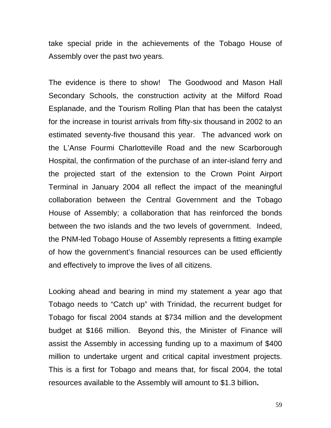take special pride in the achievements of the Tobago House of Assembly over the past two years.

The evidence is there to show! The Goodwood and Mason Hall Secondary Schools, the construction activity at the Milford Road Esplanade, and the Tourism Rolling Plan that has been the catalyst for the increase in tourist arrivals from fifty-six thousand in 2002 to an estimated seventy-five thousand this year. The advanced work on the L'Anse Fourmi Charlotteville Road and the new Scarborough Hospital, the confirmation of the purchase of an inter-island ferry and the projected start of the extension to the Crown Point Airport Terminal in January 2004 all reflect the impact of the meaningful collaboration between the Central Government and the Tobago House of Assembly; a collaboration that has reinforced the bonds between the two islands and the two levels of government. Indeed, the PNM-led Tobago House of Assembly represents a fitting example of how the government's financial resources can be used efficiently and effectively to improve the lives of all citizens.

Looking ahead and bearing in mind my statement a year ago that Tobago needs to "Catch up" with Trinidad, the recurrent budget for Tobago for fiscal 2004 stands at \$734 million and the development budget at \$166 million. Beyond this, the Minister of Finance will assist the Assembly in accessing funding up to a maximum of \$400 million to undertake urgent and critical capital investment projects. This is a first for Tobago and means that, for fiscal 2004, the total resources available to the Assembly will amount to \$1.3 billion**.**

59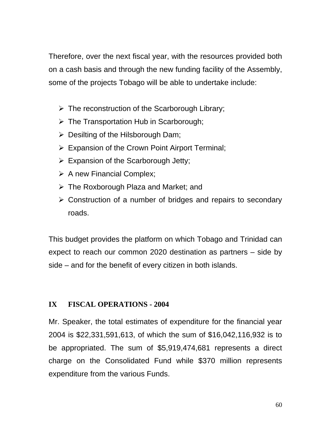Therefore, over the next fiscal year, with the resources provided both on a cash basis and through the new funding facility of the Assembly, some of the projects Tobago will be able to undertake include:

- $\triangleright$  The reconstruction of the Scarborough Library;
- $\triangleright$  The Transportation Hub in Scarborough;
- $\triangleright$  Desilting of the Hilsborough Dam;
- $\triangleright$  Expansion of the Crown Point Airport Terminal;
- $\triangleright$  Expansion of the Scarborough Jetty;
- $\triangleright$  A new Financial Complex;
- $\triangleright$  The Roxborough Plaza and Market; and
- $\triangleright$  Construction of a number of bridges and repairs to secondary roads.

This budget provides the platform on which Tobago and Trinidad can expect to reach our common 2020 destination as partners – side by side – and for the benefit of every citizen in both islands.

# **IX FISCAL OPERATIONS - 2004**

Mr. Speaker, the total estimates of expenditure for the financial year 2004 is \$22,331,591,613, of which the sum of \$16,042,116,932 is to be appropriated. The sum of \$5,919,474,681 represents a direct charge on the Consolidated Fund while \$370 million represents expenditure from the various Funds.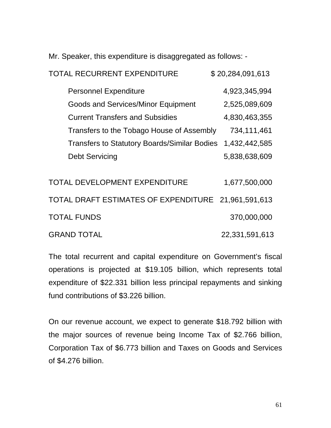Mr. Speaker, this expenditure is disaggregated as follows: -

| <b>TOTAL RECURRENT EXPENDITURE</b>                  | \$20,284,091,613 |
|-----------------------------------------------------|------------------|
| <b>Personnel Expenditure</b>                        | 4,923,345,994    |
| <b>Goods and Services/Minor Equipment</b>           | 2,525,089,609    |
| <b>Current Transfers and Subsidies</b>              | 4,830,463,355    |
| Transfers to the Tobago House of Assembly           | 734,111,461      |
| <b>Transfers to Statutory Boards/Similar Bodies</b> | 1,432,442,585    |
| <b>Debt Servicing</b>                               | 5,838,638,609    |
|                                                     |                  |
| <b>TOTAL DEVELOPMENT EXPENDITURE</b>                | 1,677,500,000    |
| TOTAL DRAFT ESTIMATES OF EXPENDITURE                | 21,961,591,613   |
| <b>TOTAL FUNDS</b>                                  | 370,000,000      |
| <b>GRAND TOTAL</b>                                  | 22,331,591,613   |

The total recurrent and capital expenditure on Government's fiscal operations is projected at \$19.105 billion, which represents total expenditure of \$22.331 billion less principal repayments and sinking fund contributions of \$3.226 billion.

On our revenue account, we expect to generate \$18.792 billion with the major sources of revenue being Income Tax of \$2.766 billion, Corporation Tax of \$6.773 billion and Taxes on Goods and Services of \$4.276 billion.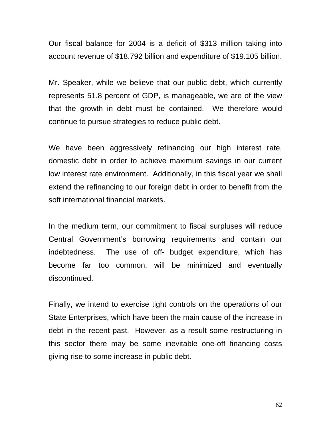Our fiscal balance for 2004 is a deficit of \$313 million taking into account revenue of \$18.792 billion and expenditure of \$19.105 billion.

Mr. Speaker, while we believe that our public debt, which currently represents 51.8 percent of GDP, is manageable, we are of the view that the growth in debt must be contained. We therefore would continue to pursue strategies to reduce public debt.

We have been aggressively refinancing our high interest rate, domestic debt in order to achieve maximum savings in our current low interest rate environment. Additionally, in this fiscal year we shall extend the refinancing to our foreign debt in order to benefit from the soft international financial markets.

In the medium term, our commitment to fiscal surpluses will reduce Central Government's borrowing requirements and contain our indebtedness. The use of off- budget expenditure, which has become far too common, will be minimized and eventually discontinued.

Finally, we intend to exercise tight controls on the operations of our State Enterprises, which have been the main cause of the increase in debt in the recent past. However, as a result some restructuring in this sector there may be some inevitable one-off financing costs giving rise to some increase in public debt.

62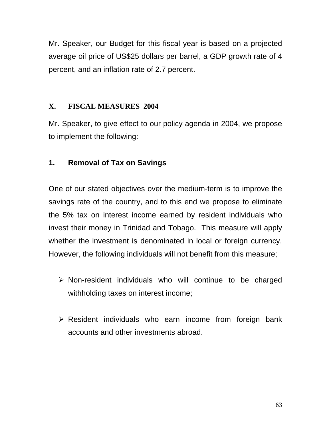Mr. Speaker, our Budget for this fiscal year is based on a projected average oil price of US\$25 dollars per barrel, a GDP growth rate of 4 percent, and an inflation rate of 2.7 percent.

# **X. FISCAL MEASURES 2004**

Mr. Speaker, to give effect to our policy agenda in 2004, we propose to implement the following:

# **1. Removal of Tax on Savings**

One of our stated objectives over the medium-term is to improve the savings rate of the country, and to this end we propose to eliminate the 5% tax on interest income earned by resident individuals who invest their money in Trinidad and Tobago. This measure will apply whether the investment is denominated in local or foreign currency. However, the following individuals will not benefit from this measure;

- $\triangleright$  Non-resident individuals who will continue to be charged withholding taxes on interest income;
- $\triangleright$  Resident individuals who earn income from foreign bank accounts and other investments abroad.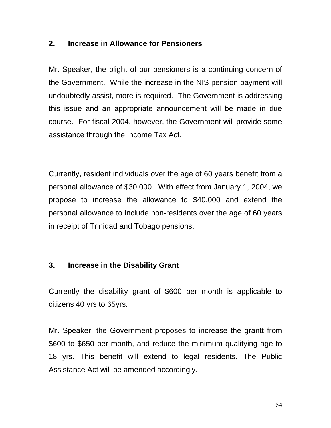### **2. Increase in Allowance for Pensioners**

Mr. Speaker, the plight of our pensioners is a continuing concern of the Government. While the increase in the NIS pension payment will undoubtedly assist, more is required. The Government is addressing this issue and an appropriate announcement will be made in due course. For fiscal 2004, however, the Government will provide some assistance through the Income Tax Act.

Currently, resident individuals over the age of 60 years benefit from a personal allowance of \$30,000. With effect from January 1, 2004, we propose to increase the allowance to \$40,000 and extend the personal allowance to include non-residents over the age of 60 years in receipt of Trinidad and Tobago pensions.

#### **3. Increase in the Disability Grant**

Currently the disability grant of \$600 per month is applicable to citizens 40 yrs to 65yrs.

Mr. Speaker, the Government proposes to increase the grantt from \$600 to \$650 per month, and reduce the minimum qualifying age to 18 yrs. This benefit will extend to legal residents. The Public Assistance Act will be amended accordingly.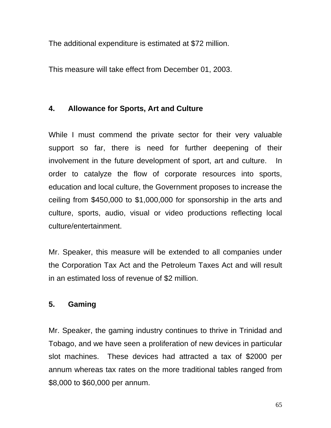The additional expenditure is estimated at \$72 million.

This measure will take effect from December 01, 2003.

# **4. Allowance for Sports, Art and Culture**

While I must commend the private sector for their very valuable support so far, there is need for further deepening of their involvement in the future development of sport, art and culture. In order to catalyze the flow of corporate resources into sports, education and local culture, the Government proposes to increase the ceiling from \$450,000 to \$1,000,000 for sponsorship in the arts and culture, sports, audio, visual or video productions reflecting local culture/entertainment.

Mr. Speaker, this measure will be extended to all companies under the Corporation Tax Act and the Petroleum Taxes Act and will result in an estimated loss of revenue of \$2 million.

## **5. Gaming**

Mr. Speaker, the gaming industry continues to thrive in Trinidad and Tobago, and we have seen a proliferation of new devices in particular slot machines. These devices had attracted a tax of \$2000 per annum whereas tax rates on the more traditional tables ranged from \$8,000 to \$60,000 per annum.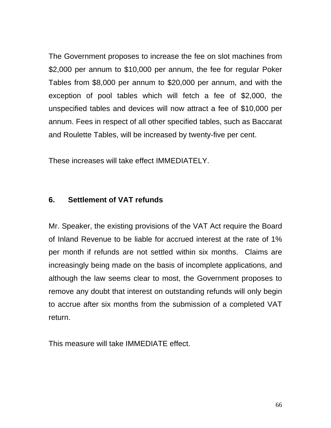The Government proposes to increase the fee on slot machines from \$2,000 per annum to \$10,000 per annum, the fee for regular Poker Tables from \$8,000 per annum to \$20,000 per annum, and with the exception of pool tables which will fetch a fee of \$2,000, the unspecified tables and devices will now attract a fee of \$10,000 per annum. Fees in respect of all other specified tables, such as Baccarat and Roulette Tables, will be increased by twenty-five per cent.

These increases will take effect IMMEDIATELY.

### **6. Settlement of VAT refunds**

Mr. Speaker, the existing provisions of the VAT Act require the Board of Inland Revenue to be liable for accrued interest at the rate of 1% per month if refunds are not settled within six months. Claims are increasingly being made on the basis of incomplete applications, and although the law seems clear to most, the Government proposes to remove any doubt that interest on outstanding refunds will only begin to accrue after six months from the submission of a completed VAT return.

This measure will take IMMEDIATE effect.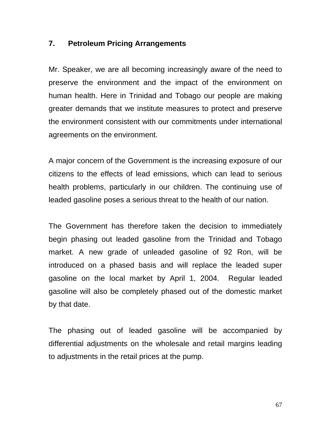## **7. Petroleum Pricing Arrangements**

Mr. Speaker, we are all becoming increasingly aware of the need to preserve the environment and the impact of the environment on human health. Here in Trinidad and Tobago our people are making greater demands that we institute measures to protect and preserve the environment consistent with our commitments under international agreements on the environment.

A major concern of the Government is the increasing exposure of our citizens to the effects of lead emissions, which can lead to serious health problems, particularly in our children. The continuing use of leaded gasoline poses a serious threat to the health of our nation.

The Government has therefore taken the decision to immediately begin phasing out leaded gasoline from the Trinidad and Tobago market. A new grade of unleaded gasoline of 92 Ron, will be introduced on a phased basis and will replace the leaded super gasoline on the local market by April 1, 2004. Regular leaded gasoline will also be completely phased out of the domestic market by that date.

The phasing out of leaded gasoline will be accompanied by differential adjustments on the wholesale and retail margins leading to adjustments in the retail prices at the pump.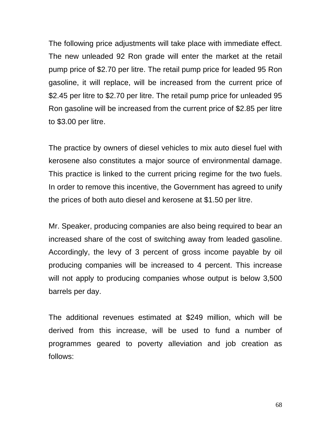The following price adjustments will take place with immediate effect. The new unleaded 92 Ron grade will enter the market at the retail pump price of \$2.70 per litre. The retail pump price for leaded 95 Ron gasoline, it will replace, will be increased from the current price of \$2.45 per litre to \$2.70 per litre. The retail pump price for unleaded 95 Ron gasoline will be increased from the current price of \$2.85 per litre to \$3.00 per litre.

The practice by owners of diesel vehicles to mix auto diesel fuel with kerosene also constitutes a major source of environmental damage. This practice is linked to the current pricing regime for the two fuels. In order to remove this incentive, the Government has agreed to unify the prices of both auto diesel and kerosene at \$1.50 per litre.

Mr. Speaker, producing companies are also being required to bear an increased share of the cost of switching away from leaded gasoline. Accordingly, the levy of 3 percent of gross income payable by oil producing companies will be increased to 4 percent. This increase will not apply to producing companies whose output is below 3,500 barrels per day.

The additional revenues estimated at \$249 million, which will be derived from this increase, will be used to fund a number of programmes geared to poverty alleviation and job creation as follows: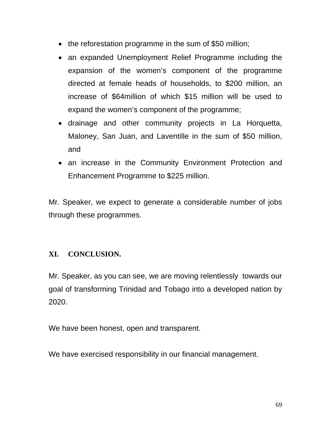- the reforestation programme in the sum of \$50 million;
- an expanded Unemployment Relief Programme including the expansion of the women's component of the programme directed at female heads of households, to \$200 million, an increase of \$64million of which \$15 million will be used to expand the women's component of the programme;
- drainage and other community projects in La Horquetta, Maloney, San Juan, and Laventille in the sum of \$50 million, and
- an increase in the Community Environment Protection and Enhancement Programme to \$225 million.

Mr. Speaker, we expect to generate a considerable number of jobs through these programmes.

# **XI. CONCLUSION.**

Mr. Speaker, as you can see, we are moving relentlessly towards our goal of transforming Trinidad and Tobago into a developed nation by 2020.

We have been honest, open and transparent.

We have exercised responsibility in our financial management.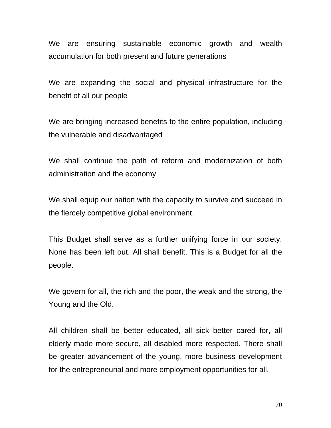We are ensuring sustainable economic growth and wealth accumulation for both present and future generations

We are expanding the social and physical infrastructure for the benefit of all our people

We are bringing increased benefits to the entire population, including the vulnerable and disadvantaged

We shall continue the path of reform and modernization of both administration and the economy

We shall equip our nation with the capacity to survive and succeed in the fiercely competitive global environment.

This Budget shall serve as a further unifying force in our society. None has been left out. All shall benefit. This is a Budget for all the people.

We govern for all, the rich and the poor, the weak and the strong, the Young and the Old.

All children shall be better educated, all sick better cared for, all elderly made more secure, all disabled more respected. There shall be greater advancement of the young, more business development for the entrepreneurial and more employment opportunities for all.